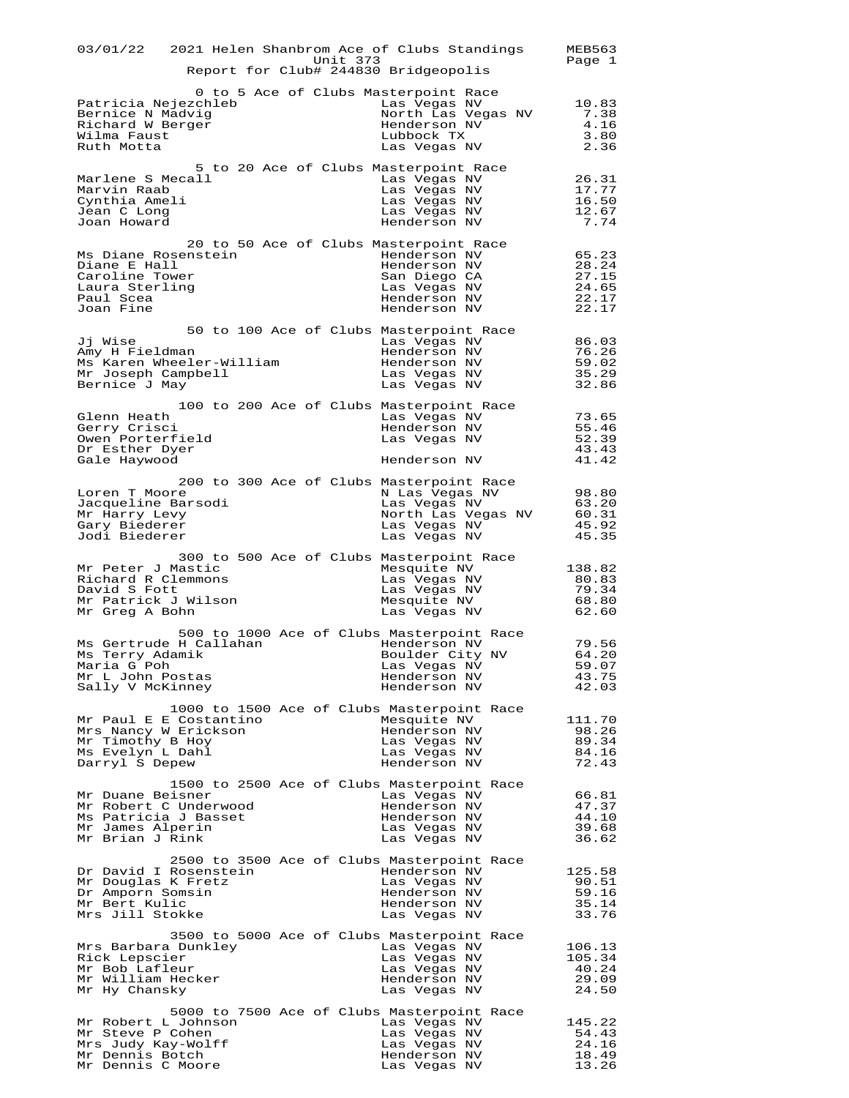| 03/01/22 2021 Helen Shanbrom Ace of Clubs Standings<br>Unit 373<br>Report for Club# 244830 Bridgeopolis                                                                                                                                     | <b>MEB563</b><br>Page 1                            |
|---------------------------------------------------------------------------------------------------------------------------------------------------------------------------------------------------------------------------------------------|----------------------------------------------------|
| 0 to 5 Ace of Clubs Masterpoint Race<br>Patricia Nejezchleb<br>Las Vegas NV<br>Bernice N Madvig<br>North Las Vegas NV<br>Richard W Berger<br>Henderson NV<br>Wilma Faust<br>Lubbock TX<br>Ruth Motta<br>Las Vegas NV                        | 10.83<br>7.38<br>4.16<br>3.80<br>2.36              |
| 5 to 20 Ace of Clubs Masterpoint Race<br>Marlene S Mecall<br>Las Vegas NV<br>Marvin Raab<br>Las Vegas NV<br>Cynthia Ameli<br>Las Vegas NV<br>Jean C Long<br>Las Vegas NV<br>Joan Howard<br>Henderson NV                                     | 26.31<br>17.77<br>16.50<br>12.67<br>7.74           |
| 20 to 50 Ace of Clubs Masterpoint Race<br>Ms Diane Rosenstein<br>Henderson NV<br>Diane E Hall<br>Henderson NV<br>Caroline Tower<br>San Diego CA<br>Laura Sterling<br>Las Vegas NV<br>Paul Scea<br>Henderson NV<br>Joan Fine<br>Henderson NV | 65.23<br>28.24<br>27.15<br>24.65<br>22.17<br>22.17 |
| 50 to 100 Ace of Clubs Masterpoint Race<br>Jj Wise<br>Las Vegas NV<br>Amy H Fieldman<br>Henderson NV<br>Ms Karen Wheeler-William<br>Henderson NV<br>Mr Joseph Campbell<br>Las Vegas NV<br>Bernice J May<br>Las Vegas NV                     | 86.03<br>76.26<br>59.02<br>35.29<br>32.86          |
| 100 to 200 Ace of Clubs Masterpoint Race<br>Glenn Heath<br>Las Vegas NV<br>Gerry Crisci<br>Henderson NV<br>Owen Porterfield<br>Las Vegas NV<br>Dr Esther Dyer<br>Henderson NV<br>Gale Haywood                                               | 73.65<br>55.46<br>52.39<br>43.43<br>41.42          |
| 200 to 300 Ace of Clubs Masterpoint Race<br>Loren T Moore<br>N Las Vegas NV<br>Jacqueline Barsodi<br>Las Vegas NV<br>Mr Harry Levy<br>North Las Vegas NV<br>Gary Biederer<br>Las Vegas NV<br>Jodi Biederer<br>Las Vegas NV                  | 98.80<br>63.20<br>60.31<br>45.92<br>45.35          |
| 300 to 500 Ace of Clubs Masterpoint Race<br>Mr Peter J Mastic<br>Mesquite NV<br>Richard R Clemmons<br>Las Vegas NV<br>David S Fott<br>Las Vegas NV<br>Mr Patrick J Wilson<br>Mesquite NV<br>Mr Greg A Bohn<br>Las Vegas NV                  | 138.82<br>80.83<br>79.34<br>68.80<br>62.60         |
| 500 to 1000 Ace of Clubs Masterpoint Race<br>Ms Gertrude H Callahan<br>Henderson NV<br>Ms Terry Adamik<br>Boulder City NV<br>Maria G Poh<br>Las Vegas NV<br>Mr L John Postas<br>Henderson NV<br>Sally V McKinney<br>Henderson NV            | 79.56<br>64.20<br>59.07<br>43.75<br>42.03          |
| 1000 to 1500 Ace of Clubs Masterpoint Race<br>Mr Paul E E Costantino<br>Mesquite NV<br>Mrs Nancy W Erickson<br>Henderson NV<br>Mr Timothy B Hoy<br>Las Vegas NV<br>Ms Evelyn L Dahl<br>Las Vegas NV<br>Darryl S Depew<br>Henderson NV       | 111.70<br>98.26<br>89.34<br>84.16<br>72.43         |
| 1500 to 2500 Ace of Clubs Masterpoint Race<br>Mr Duane Beisner<br>Las Vegas NV<br>Mr Robert C Underwood<br>Henderson NV<br>Ms Patricia J Basset<br>Henderson NV<br>Mr James Alperin<br>Las Vegas NV<br>Mr Brian J Rink<br>Las Vegas NV      | 66.81<br>47.37<br>44.10<br>39.68<br>36.62          |
| 2500 to 3500 Ace of Clubs Masterpoint Race<br>Dr David I Rosenstein<br>Henderson NV<br>Mr Douglas K Fretz<br>Las Vegas NV<br>Dr Amporn Somsin<br>Henderson NV<br>Mr Bert Kulic<br>Henderson NV<br>Mrs Jill Stokke<br>Las Vegas NV           | 125.58<br>90.51<br>59.16<br>35.14<br>33.76         |
| 3500 to 5000 Ace of Clubs Masterpoint Race<br>Mrs Barbara Dunkley<br>Las Vegas NV<br>Rick Lepscier<br>Las Vegas NV<br>Mr Bob Lafleur<br>Las Vegas NV<br>Mr William Hecker<br>Henderson NV<br>Mr Hy Chansky<br>Las Vegas NV                  | 106.13<br>105.34<br>40.24<br>29.09<br>24.50        |
| 5000 to 7500 Ace of Clubs Masterpoint Race<br>Mr Robert L Johnson<br>Las Vegas NV<br>Mr Steve P Cohen<br>Las Vegas NV<br>Mrs Judy Kay-Wolff<br>Las Vegas NV<br>Mr Dennis Botch<br>Henderson NV<br>Mr Dennis C Moore<br>Las Vegas NV         | 145.22<br>54.43<br>24.16<br>18.49<br>13.26         |